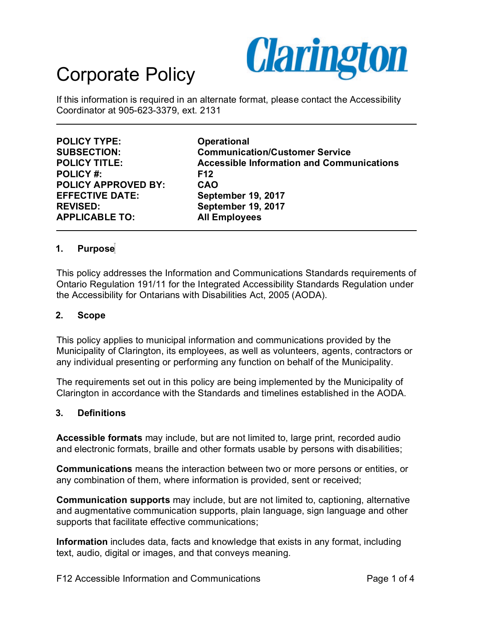

If this information is required in an alternate format, please contact the Accessibility Coordinator at 905-623-3379, ext. 2131

**POLICY TYPE:** Operational<br>
SUBSECTION: Communica **POLICY #: F12 POLICY APPROVED BY: CAO EFFECTIVE DATE: September 19, 2017 REVISED: September 19, 2017 APPLICABLE TO: All Employees**

**Communication/Customer Service POLICY TITLE: Accessible Information and Communications**

## **1. Purpose**

This policy addresses the Information and Communications Standards requirements of Ontario Regulation 191/11 for the Integrated Accessibility Standards Regulation under the Accessibility for Ontarians with Disabilities Act, 2005 (AODA).

#### **2. Scope**

This policy applies to municipal information and communications provided by the Municipality of Clarington, its employees, as well as volunteers, agents, contractors or any individual presenting or performing any function on behalf of the Municipality.

The requirements set out in this policy are being implemented by the Municipality of Clarington in accordance with the Standards and timelines established in the AODA.

### **3. Definitions**

**Accessible formats** may include, but are not limited to, large print, recorded audio and electronic formats, braille and other formats usable by persons with disabilities;

**Communications** means the interaction between two or more persons or entities, or any combination of them, where information is provided, sent or received;

**Communication supports** may include, but are not limited to, captioning, alternative and augmentative communication supports, plain language, sign language and other supports that facilitate effective communications;

**Information** includes data, facts and knowledge that exists in any format, including text, audio, digital or images, and that conveys meaning.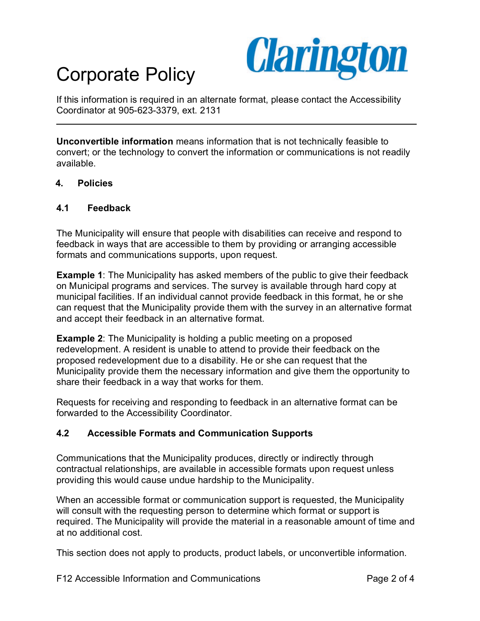

If this information is required in an alternate format, please contact the Accessibility Coordinator at 905-623-3379, ext. 2131

**Unconvertible information** means information that is not technically feasible to convert; or the technology to convert the information or communications is not readily available.

### **4. Policies**

### **4.1 Feedback**

The Municipality will ensure that people with disabilities can receive and respond to feedback in ways that are accessible to them by providing or arranging accessible formats and communications supports, upon request.

**Example 1**: The Municipality has asked members of the public to give their feedback on Municipal programs and services. The survey is available through hard copy at municipal facilities. If an individual cannot provide feedback in this format, he or she can request that the Municipality provide them with the survey in an alternative format and accept their feedback in an alternative format.

**Example 2**: The Municipality is holding a public meeting on a proposed redevelopment. A resident is unable to attend to provide their feedback on the proposed redevelopment due to a disability. He or she can request that the Municipality provide them the necessary information and give them the opportunity to share their feedback in a way that works for them.

Requests for receiving and responding to feedback in an alternative format can be forwarded to the Accessibility Coordinator.

## **4.2 Accessible Formats and Communication Supports**

Communications that the Municipality produces, directly or indirectly through contractual relationships, are available in accessible formats upon request unless providing this would cause undue hardship to the Municipality.

When an accessible format or communication support is requested, the Municipality will consult with the requesting person to determine which format or support is required. The Municipality will provide the material in a reasonable amount of time and at no additional cost.

This section does not apply to products, product labels, or unconvertible information.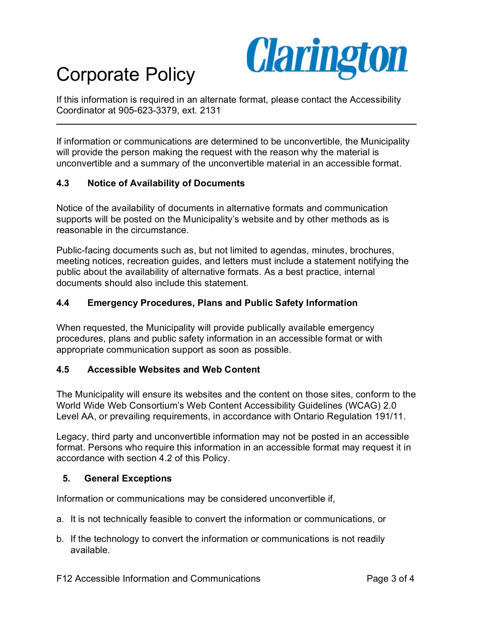

If this information is required in an alternate format, please contact the Accessibility Coordinator at 905-623-3379, ext. 2131

If information or communications are determined to be unconvertible, the Municipality will provide the person making the request with the reason why the material is unconvertible and a summary of the unconvertible material in an accessible format.

## **4.3 Notice of Availability of Documents**

Notice of the availability of documents in alternative formats and communication supports will be posted on the Municipality's website and by other methods as is reasonable in the circumstance.

Public-facing documents such as, but not limited to agendas, minutes, brochures, meeting notices, recreation guides, and letters must include a statement notifying the public about the availability of alternative formats. As a best practice, internal documents should also include this statement.

## **4.4 Emergency Procedures, Plans and Public Safety Information**

When requested, the Municipality will provide publically available emergency procedures, plans and public safety information in an accessible format or with appropriate communication support as soon as possible.

### **4.5 Accessible Websites and Web Content**

The Municipality will ensure its websites and the content on those sites, conform to the World Wide Web Consortium's Web Content Accessibility Guidelines (WCAG) 2.0 Level AA, or prevailing requirements, in accordance with Ontario Regulation 191/11.

Legacy, third party and unconvertible information may not be posted in an accessible format. Persons who require this information in an accessible format may request it in accordance with section 4.2 of this Policy.

### **5. General Exceptions**

Information or communications may be considered unconvertible if,

- a. It is not technically feasible to convert the information or communications, or
- b. If the technology to convert the information or communications is not readily available.